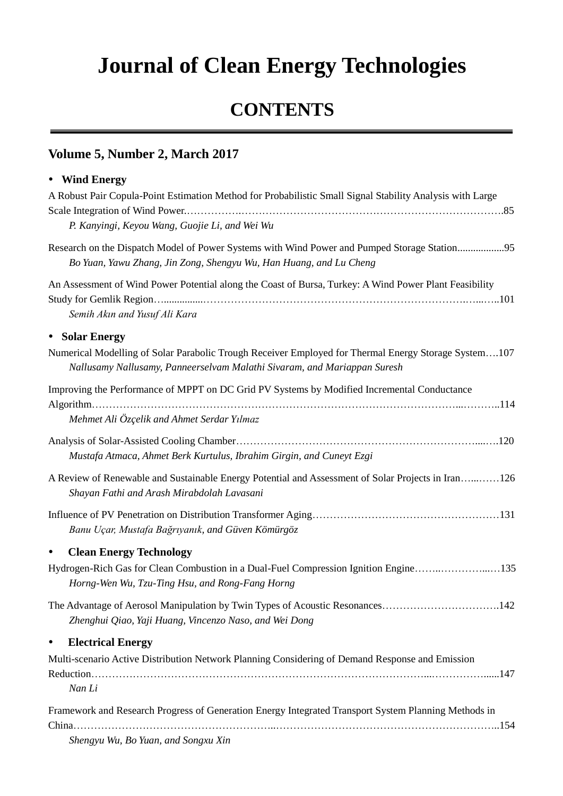## **Journal of Clean Energy Technologies**

## **CONTENTS**

## **Volume 5, Number 2, March 2017**

## **Wind Energy**

| A Robust Pair Copula-Point Estimation Method for Probabilistic Small Signal Stability Analysis with Large                                                                        |
|----------------------------------------------------------------------------------------------------------------------------------------------------------------------------------|
| P. Kanyingi, Keyou Wang, Guojie Li, and Wei Wu                                                                                                                                   |
| Research on the Dispatch Model of Power Systems with Wind Power and Pumped Storage Station95<br>Bo Yuan, Yawu Zhang, Jin Zong, Shengyu Wu, Han Huang, and Lu Cheng               |
| An Assessment of Wind Power Potential along the Coast of Bursa, Turkey: A Wind Power Plant Feasibility<br>Semih Akın and Yusuf Ali Kara                                          |
| • Solar Energy                                                                                                                                                                   |
| Numerical Modelling of Solar Parabolic Trough Receiver Employed for Thermal Energy Storage System107<br>Nallusamy Nallusamy, Panneerselvam Malathi Sivaram, and Mariappan Suresh |
| Improving the Performance of MPPT on DC Grid PV Systems by Modified Incremental Conductance                                                                                      |
| Mehmet Ali Öz çelik and Ahmet Serdar Yılmaz                                                                                                                                      |
| Mustafa Atmaca, Ahmet Berk Kurtulus, Ibrahim Girgin, and Cuneyt Ezgi                                                                                                             |
| A Review of Renewable and Sustainable Energy Potential and Assessment of Solar Projects in Iran126<br>Shayan Fathi and Arash Mirabdolah Lavasani                                 |
| Banu Uçar, Mustafa Bağrıyanık, and Güven Kömürgöz                                                                                                                                |
| <b>Clean Energy Technology</b><br>$\bullet$                                                                                                                                      |
| Hydrogen-Rich Gas for Clean Combustion in a Dual-Fuel Compression Ignition Engine135<br>Horng-Wen Wu, Tzu-Ting Hsu, and Rong-Fang Horng                                          |
| The Advantage of Aerosol Manipulation by Twin Types of Acoustic Resonances142<br>Zhenghui Qiao, Yaji Huang, Vincenzo Naso, and Wei Dong                                          |
| <b>Electrical Energy</b><br>$\bullet$                                                                                                                                            |
| Multi-scenario Active Distribution Network Planning Considering of Demand Response and Emission<br>Nan Li                                                                        |
| Framework and Research Progress of Generation Energy Integrated Transport System Planning Methods in                                                                             |

*Shengyu Wu, Bo Yuan, and Songxu Xin*